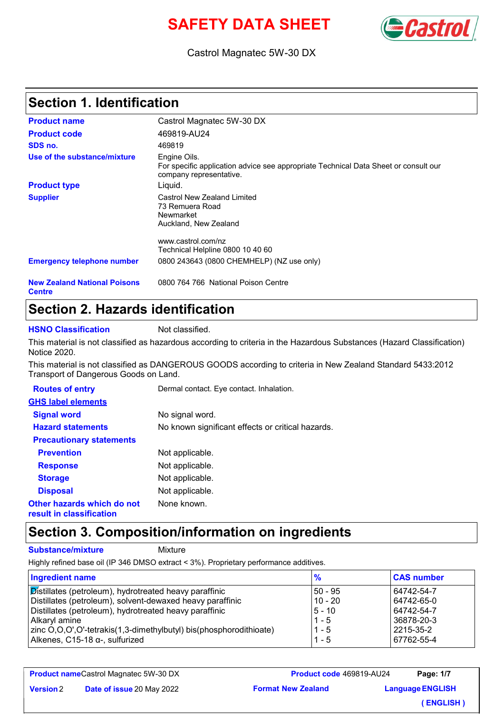# **SAFETY DATA SHEET**



Castrol Magnatec 5W-30 DX

# **Section 1. Identification**

| <b>Product name</b>                                  | Castrol Magnatec 5W-30 DX                                                                                                      |
|------------------------------------------------------|--------------------------------------------------------------------------------------------------------------------------------|
| <b>Product code</b>                                  | 469819-AU24                                                                                                                    |
| SDS no.                                              | 469819                                                                                                                         |
| Use of the substance/mixture                         | Engine Oils.<br>For specific application advice see appropriate Technical Data Sheet or consult our<br>company representative. |
| <b>Product type</b>                                  | Liquid.                                                                                                                        |
| <b>Supplier</b>                                      | Castrol New Zealand Limited<br>73 Remuera Road<br>Newmarket<br>Auckland, New Zealand                                           |
| <b>Emergency telephone number</b>                    | www.castrol.com/nz<br>Technical Helpline 0800 10 40 60<br>0800 243643 (0800 CHEMHELP) (NZ use only)                            |
| <b>New Zealand National Poisons</b><br><b>Centre</b> | 0800 764 766 National Poison Centre                                                                                            |

### **Section 2. Hazards identification**

**HSNO Classification** Not classified.

This material is not classified as hazardous according to criteria in the Hazardous Substances (Hazard Classification) Notice 2020.

This material is not classified as DANGEROUS GOODS according to criteria in New Zealand Standard 5433:2012 Transport of Dangerous Goods on Land.

| <b>Routes of entry</b>                                 | Dermal contact. Eye contact. Inhalation.          |
|--------------------------------------------------------|---------------------------------------------------|
| <b>GHS label elements</b>                              |                                                   |
| <b>Signal word</b>                                     | No signal word.                                   |
| <b>Hazard statements</b>                               | No known significant effects or critical hazards. |
| <b>Precautionary statements</b>                        |                                                   |
| <b>Prevention</b>                                      | Not applicable.                                   |
| <b>Response</b>                                        | Not applicable.                                   |
| <b>Storage</b>                                         | Not applicable.                                   |
| <b>Disposal</b>                                        | Not applicable.                                   |
| Other hazards which do not<br>result in classification | None known.                                       |

### **Section 3. Composition/information on ingredients**

**Substance/mixture** Mixture

Highly refined base oil (IP 346 DMSO extract < 3%). Proprietary performance additives.

| <b>Ingredient name</b>                                             | $\frac{9}{6}$ | <b>CAS number</b> |
|--------------------------------------------------------------------|---------------|-------------------|
| Distillates (petroleum), hydrotreated heavy paraffinic             | 50 - 95       | 64742-54-7        |
| Distillates (petroleum), solvent-dewaxed heavy paraffinic          | $10 - 20$     | 64742-65-0        |
| Distillates (petroleum), hydrotreated heavy paraffinic             | $5 - 10$      | 64742-54-7        |
| l Alkarvl amine                                                    | $1 - 5$       | 36878-20-3        |
| zinc O,O,O',O'-tetrakis(1,3-dimethylbutyl) bis(phosphorodithioate) | $1 - 5$       | 2215-35-2         |
| Alkenes, C15-18 α-, sulfurized                                     | $1 - 5$       | 67762-55-4        |

**Product name** Castrol Magnatec 5W-30 DX

**Version**

**Date of issue** 20 May 2022

**Format New Zealand Product code** 469819-AU24

**Language ENGLISH Page: 1/7 ( ENGLISH )**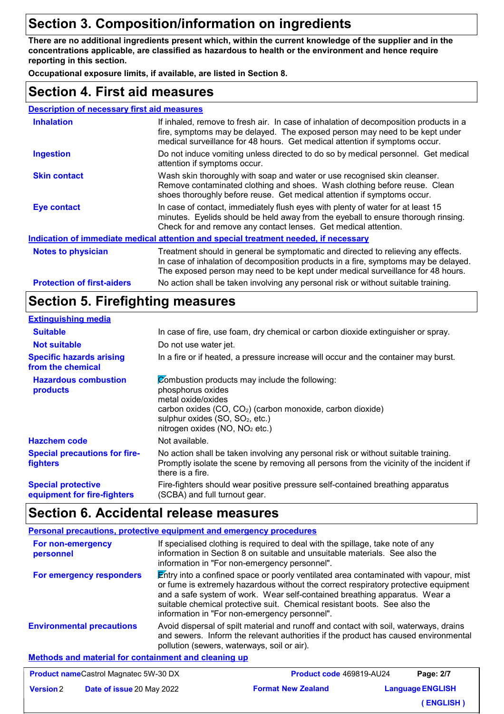# **Section 3. Composition/information on ingredients**

**There are no additional ingredients present which, within the current knowledge of the supplier and in the concentrations applicable, are classified as hazardous to health or the environment and hence require reporting in this section.**

**Occupational exposure limits, if available, are listed in Section 8.**

### **Section 4. First aid measures**

| <b>Description of necessary first aid measures</b> |
|----------------------------------------------------|
|----------------------------------------------------|

| <b>Inhalation</b>                                                                    | If inhaled, remove to fresh air. In case of inhalation of decomposition products in a<br>fire, symptoms may be delayed. The exposed person may need to be kept under<br>medical surveillance for 48 hours. Get medical attention if symptoms occur.         |  |
|--------------------------------------------------------------------------------------|-------------------------------------------------------------------------------------------------------------------------------------------------------------------------------------------------------------------------------------------------------------|--|
| <b>Ingestion</b>                                                                     | Do not induce vomiting unless directed to do so by medical personnel. Get medical<br>attention if symptoms occur.                                                                                                                                           |  |
| <b>Skin contact</b>                                                                  | Wash skin thoroughly with soap and water or use recognised skin cleanser.<br>Remove contaminated clothing and shoes. Wash clothing before reuse. Clean<br>shoes thoroughly before reuse. Get medical attention if symptoms occur.                           |  |
| <b>Eye contact</b>                                                                   | In case of contact, immediately flush eyes with plenty of water for at least 15<br>minutes. Eyelids should be held away from the eyeball to ensure thorough rinsing.<br>Check for and remove any contact lenses. Get medical attention.                     |  |
| Indication of immediate medical attention and special treatment needed, if necessary |                                                                                                                                                                                                                                                             |  |
| <b>Notes to physician</b>                                                            | Treatment should in general be symptomatic and directed to relieving any effects.<br>In case of inhalation of decomposition products in a fire, symptoms may be delayed.<br>The exposed person may need to be kept under medical surveillance for 48 hours. |  |
| <b>Protection of first-aiders</b>                                                    | No action shall be taken involving any personal risk or without suitable training.                                                                                                                                                                          |  |

### **Section 5. Firefighting measures**

#### **Extinguishing media**

| <b>Suitable</b>                                          | In case of fire, use foam, dry chemical or carbon dioxide extinguisher or spray.                                                                                                                                                                                 |
|----------------------------------------------------------|------------------------------------------------------------------------------------------------------------------------------------------------------------------------------------------------------------------------------------------------------------------|
| <b>Not suitable</b>                                      | Do not use water jet.                                                                                                                                                                                                                                            |
| <b>Specific hazards arising</b><br>from the chemical     | In a fire or if heated, a pressure increase will occur and the container may burst.                                                                                                                                                                              |
| <b>Hazardous combustion</b><br>products                  | Combustion products may include the following:<br>phosphorus oxides<br>metal oxide/oxides<br>carbon oxides (CO, CO <sub>2</sub> ) (carbon monoxide, carbon dioxide)<br>sulphur oxides (SO, SO <sub>2</sub> , etc.)<br>nitrogen oxides (NO, NO <sub>2</sub> etc.) |
| <b>Hazchem code</b>                                      | Not available.                                                                                                                                                                                                                                                   |
| <b>Special precautions for fire-</b><br>fighters         | No action shall be taken involving any personal risk or without suitable training.<br>Promptly isolate the scene by removing all persons from the vicinity of the incident if<br>there is a fire.                                                                |
| <b>Special protective</b><br>equipment for fire-fighters | Fire-fighters should wear positive pressure self-contained breathing apparatus<br>(SCBA) and full turnout gear.                                                                                                                                                  |

### **Section 6. Accidental release measures**

|                                                             | <b>Personal precautions, protective equipment and emergency procedures</b>                                                                                                                                                                                                                                                                                                              |
|-------------------------------------------------------------|-----------------------------------------------------------------------------------------------------------------------------------------------------------------------------------------------------------------------------------------------------------------------------------------------------------------------------------------------------------------------------------------|
| For non-emergency<br>personnel                              | If specialised clothing is required to deal with the spillage, take note of any<br>information in Section 8 on suitable and unsuitable materials. See also the<br>information in "For non-emergency personnel".                                                                                                                                                                         |
| For emergency responders                                    | Entry into a confined space or poorly ventilated area contaminated with vapour, mist<br>or fume is extremely hazardous without the correct respiratory protective equipment<br>and a safe system of work. Wear self-contained breathing apparatus. Wear a<br>suitable chemical protective suit. Chemical resistant boots. See also the<br>information in "For non-emergency personnel". |
| <b>Environmental precautions</b>                            | Avoid dispersal of spilt material and runoff and contact with soil, waterways, drains<br>and sewers. Inform the relevant authorities if the product has caused environmental<br>pollution (sewers, waterways, soil or air).                                                                                                                                                             |
| <b>Methods and material for containment and cleaning up</b> |                                                                                                                                                                                                                                                                                                                                                                                         |

|                  | <b>Product nameCastrol Magnatec 5W-30 DX</b> | Product code 469819-AU24  | Page: 2/7               |
|------------------|----------------------------------------------|---------------------------|-------------------------|
| <b>Version</b> 2 | <b>Date of issue 20 May 2022</b>             | <b>Format New Zealand</b> | <b>Language ENGLISH</b> |
|                  |                                              |                           | (ENGLISH)               |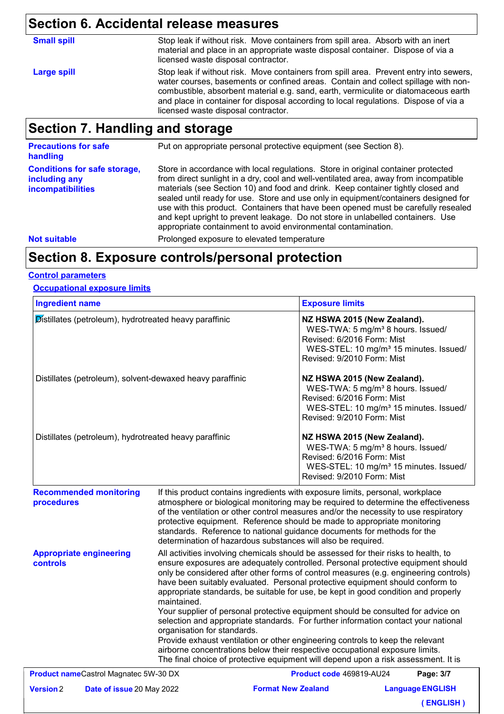# **Section 6. Accidental release measures**

| <b>Small spill</b> | Stop leak if without risk. Move containers from spill area. Absorb with an inert<br>material and place in an appropriate waste disposal container. Dispose of via a<br>licensed waste disposal contractor.                                                                                                                                                                                         |
|--------------------|----------------------------------------------------------------------------------------------------------------------------------------------------------------------------------------------------------------------------------------------------------------------------------------------------------------------------------------------------------------------------------------------------|
| <b>Large spill</b> | Stop leak if without risk. Move containers from spill area. Prevent entry into sewers,<br>water courses, basements or confined areas. Contain and collect spillage with non-<br>combustible, absorbent material e.g. sand, earth, vermiculite or diatomaceous earth<br>and place in container for disposal according to local regulations. Dispose of via a<br>licensed waste disposal contractor. |

# **Section 7. Handling and storage**

| <b>Precautions for safe</b><br>handling                                   | Put on appropriate personal protective equipment (see Section 8).                                                                                                                                                                                                                                                                                                                                                                                                                                                                                                                              |
|---------------------------------------------------------------------------|------------------------------------------------------------------------------------------------------------------------------------------------------------------------------------------------------------------------------------------------------------------------------------------------------------------------------------------------------------------------------------------------------------------------------------------------------------------------------------------------------------------------------------------------------------------------------------------------|
| <b>Conditions for safe storage,</b><br>including any<br>incompatibilities | Store in accordance with local regulations. Store in original container protected<br>from direct sunlight in a dry, cool and well-ventilated area, away from incompatible<br>materials (see Section 10) and food and drink. Keep container tightly closed and<br>sealed until ready for use. Store and use only in equipment/containers designed for<br>use with this product. Containers that have been opened must be carefully resealed<br>and kept upright to prevent leakage. Do not store in unlabelled containers. Use<br>appropriate containment to avoid environmental contamination. |
| <b>Not suitable</b>                                                       | Prolonged exposure to elevated temperature                                                                                                                                                                                                                                                                                                                                                                                                                                                                                                                                                     |

### **Section 8. Exposure controls/personal protection**

#### **Control parameters**

#### **Occupational exposure limits**

| <b>Ingredient name</b>                                    |                                                                                                                                                                                                                                                                                                                                                                                                                                                                                                                                                                                                                                                                                                                                                                                                                                                                                                                        | <b>Exposure limits</b>                                                                                                                                                                         |
|-----------------------------------------------------------|------------------------------------------------------------------------------------------------------------------------------------------------------------------------------------------------------------------------------------------------------------------------------------------------------------------------------------------------------------------------------------------------------------------------------------------------------------------------------------------------------------------------------------------------------------------------------------------------------------------------------------------------------------------------------------------------------------------------------------------------------------------------------------------------------------------------------------------------------------------------------------------------------------------------|------------------------------------------------------------------------------------------------------------------------------------------------------------------------------------------------|
| Distillates (petroleum), hydrotreated heavy paraffinic    |                                                                                                                                                                                                                                                                                                                                                                                                                                                                                                                                                                                                                                                                                                                                                                                                                                                                                                                        | NZ HSWA 2015 (New Zealand).<br>WES-TWA: 5 mg/m <sup>3</sup> 8 hours. Issued/<br>Revised: 6/2016 Form: Mist<br>WES-STEL: 10 mg/m <sup>3</sup> 15 minutes. Issued/<br>Revised: 9/2010 Form: Mist |
| Distillates (petroleum), solvent-dewaxed heavy paraffinic |                                                                                                                                                                                                                                                                                                                                                                                                                                                                                                                                                                                                                                                                                                                                                                                                                                                                                                                        | NZ HSWA 2015 (New Zealand).<br>WES-TWA: 5 mg/m <sup>3</sup> 8 hours. Issued/<br>Revised: 6/2016 Form: Mist<br>WES-STEL: 10 mg/m <sup>3</sup> 15 minutes. Issued/<br>Revised: 9/2010 Form: Mist |
| Distillates (petroleum), hydrotreated heavy paraffinic    |                                                                                                                                                                                                                                                                                                                                                                                                                                                                                                                                                                                                                                                                                                                                                                                                                                                                                                                        | NZ HSWA 2015 (New Zealand).<br>WES-TWA: 5 mg/m <sup>3</sup> 8 hours. Issued/<br>Revised: 6/2016 Form: Mist<br>WES-STEL: 10 mg/m <sup>3</sup> 15 minutes. Issued/<br>Revised: 9/2010 Form: Mist |
| <b>Recommended monitoring</b><br>procedures               | If this product contains ingredients with exposure limits, personal, workplace<br>atmosphere or biological monitoring may be required to determine the effectiveness<br>of the ventilation or other control measures and/or the necessity to use respiratory<br>protective equipment. Reference should be made to appropriate monitoring<br>standards. Reference to national guidance documents for methods for the<br>determination of hazardous substances will also be required.                                                                                                                                                                                                                                                                                                                                                                                                                                    |                                                                                                                                                                                                |
| <b>Appropriate engineering</b><br>controls                | All activities involving chemicals should be assessed for their risks to health, to<br>ensure exposures are adequately controlled. Personal protective equipment should<br>only be considered after other forms of control measures (e.g. engineering controls)<br>have been suitably evaluated. Personal protective equipment should conform to<br>appropriate standards, be suitable for use, be kept in good condition and properly<br>maintained.<br>Your supplier of personal protective equipment should be consulted for advice on<br>selection and appropriate standards. For further information contact your national<br>organisation for standards.<br>Provide exhaust ventilation or other engineering controls to keep the relevant<br>airborne concentrations below their respective occupational exposure limits.<br>The final choice of protective equipment will depend upon a risk assessment. It is |                                                                                                                                                                                                |
|                                                           |                                                                                                                                                                                                                                                                                                                                                                                                                                                                                                                                                                                                                                                                                                                                                                                                                                                                                                                        |                                                                                                                                                                                                |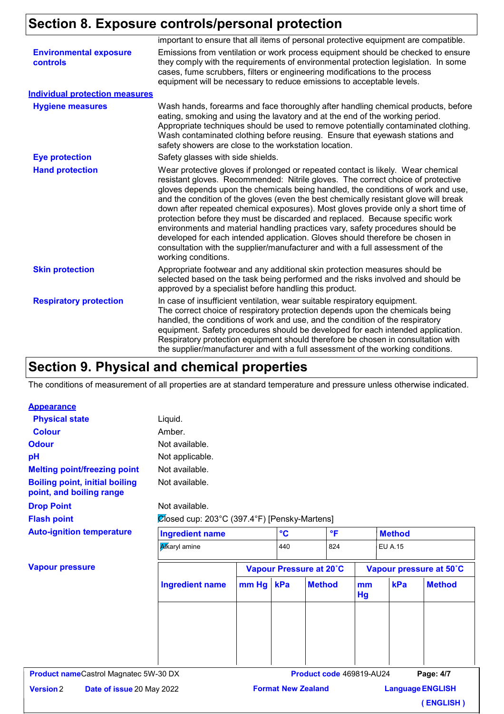# **Section 8. Exposure controls/personal protection**

|                                                  | important to ensure that all items of personal protective equipment are compatible.                                                                                                                                                                                                                                                                                                                                                                                                                                                                                                                                                                                                                                                                                                             |
|--------------------------------------------------|-------------------------------------------------------------------------------------------------------------------------------------------------------------------------------------------------------------------------------------------------------------------------------------------------------------------------------------------------------------------------------------------------------------------------------------------------------------------------------------------------------------------------------------------------------------------------------------------------------------------------------------------------------------------------------------------------------------------------------------------------------------------------------------------------|
| <b>Environmental exposure</b><br><b>controls</b> | Emissions from ventilation or work process equipment should be checked to ensure<br>they comply with the requirements of environmental protection legislation. In some<br>cases, fume scrubbers, filters or engineering modifications to the process<br>equipment will be necessary to reduce emissions to acceptable levels.                                                                                                                                                                                                                                                                                                                                                                                                                                                                   |
| <b>Individual protection measures</b>            |                                                                                                                                                                                                                                                                                                                                                                                                                                                                                                                                                                                                                                                                                                                                                                                                 |
| <b>Hygiene measures</b>                          | Wash hands, forearms and face thoroughly after handling chemical products, before<br>eating, smoking and using the lavatory and at the end of the working period.<br>Appropriate techniques should be used to remove potentially contaminated clothing.<br>Wash contaminated clothing before reusing. Ensure that eyewash stations and<br>safety showers are close to the workstation location.                                                                                                                                                                                                                                                                                                                                                                                                 |
| <b>Eye protection</b>                            | Safety glasses with side shields.                                                                                                                                                                                                                                                                                                                                                                                                                                                                                                                                                                                                                                                                                                                                                               |
| <b>Hand protection</b>                           | Wear protective gloves if prolonged or repeated contact is likely. Wear chemical<br>resistant gloves. Recommended: Nitrile gloves. The correct choice of protective<br>gloves depends upon the chemicals being handled, the conditions of work and use,<br>and the condition of the gloves (even the best chemically resistant glove will break<br>down after repeated chemical exposures). Most gloves provide only a short time of<br>protection before they must be discarded and replaced. Because specific work<br>environments and material handling practices vary, safety procedures should be<br>developed for each intended application. Gloves should therefore be chosen in<br>consultation with the supplier/manufacturer and with a full assessment of the<br>working conditions. |
| <b>Skin protection</b>                           | Appropriate footwear and any additional skin protection measures should be<br>selected based on the task being performed and the risks involved and should be<br>approved by a specialist before handling this product.                                                                                                                                                                                                                                                                                                                                                                                                                                                                                                                                                                         |
| <b>Respiratory protection</b>                    | In case of insufficient ventilation, wear suitable respiratory equipment.<br>The correct choice of respiratory protection depends upon the chemicals being<br>handled, the conditions of work and use, and the condition of the respiratory<br>equipment. Safety procedures should be developed for each intended application.<br>Respiratory protection equipment should therefore be chosen in consultation with<br>the supplier/manufacturer and with a full assessment of the working conditions.                                                                                                                                                                                                                                                                                           |

### **Section 9. Physical and chemical properties**

The conditions of measurement of all properties are at standard temperature and pressure unless otherwise indicated.

#### **Appearance**

| <b>Physical state</b>                                             | Liquid.                                      |           |                 |                          |              |          |                |                         |
|-------------------------------------------------------------------|----------------------------------------------|-----------|-----------------|--------------------------|--------------|----------|----------------|-------------------------|
| <b>Colour</b>                                                     | Amber.                                       |           |                 |                          |              |          |                |                         |
| <b>Odour</b>                                                      | Not available.                               |           |                 |                          |              |          |                |                         |
| pH                                                                | Not applicable.                              |           |                 |                          |              |          |                |                         |
| <b>Melting point/freezing point</b>                               | Not available.                               |           |                 |                          |              |          |                |                         |
| <b>Boiling point, initial boiling</b><br>point, and boiling range | Not available.                               |           |                 |                          |              |          |                |                         |
| <b>Drop Point</b>                                                 | Not available.                               |           |                 |                          |              |          |                |                         |
| <b>Flash point</b>                                                | Ølosed cup: 203°C (397.4°F) [Pensky-Martens] |           |                 |                          |              |          |                |                         |
| <b>Auto-ignition temperature</b>                                  | <b>Ingredient name</b>                       |           | $\rm ^{\circ}C$ |                          | $\mathsf{P}$ |          | <b>Method</b>  |                         |
|                                                                   | <b>Alkaryl</b> amine                         |           | 440             |                          | 824          |          | <b>EU A.15</b> |                         |
| <b>Vapour pressure</b>                                            |                                              |           |                 | Vapour Pressure at 20°C  |              |          |                | Vapour pressure at 50°C |
|                                                                   | <b>Ingredient name</b>                       | mm Hg kPa |                 | <b>Method</b>            |              | mm<br>Hg | kPa            | <b>Method</b>           |
|                                                                   |                                              |           |                 |                          |              |          |                |                         |
|                                                                   |                                              |           |                 |                          |              |          |                |                         |
|                                                                   |                                              |           |                 |                          |              |          |                |                         |
|                                                                   |                                              |           |                 |                          |              |          |                |                         |
|                                                                   |                                              |           |                 |                          |              |          |                |                         |
| <b>Product nameCastrol Magnatec 5W-30 DX</b>                      |                                              |           |                 | Product code 469819-AU24 |              |          |                | Page: 4/7               |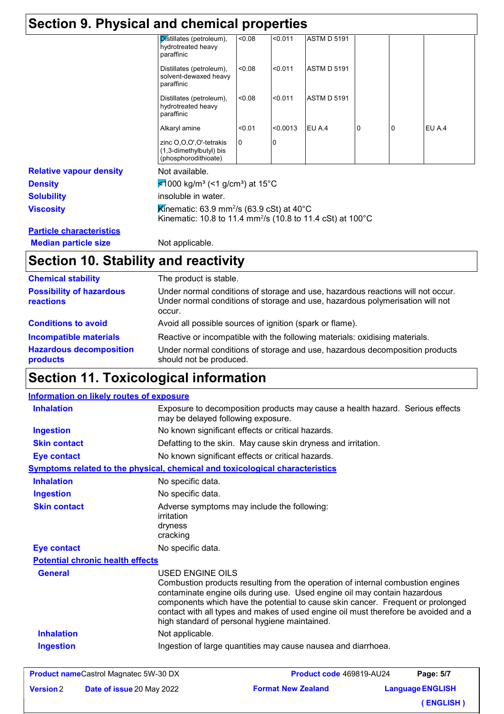| Section 9. Physical and chemical properties |                                                                                                                                  |        |          |                    |          |   |        |  |
|---------------------------------------------|----------------------------------------------------------------------------------------------------------------------------------|--------|----------|--------------------|----------|---|--------|--|
|                                             | Distillates (petroleum),<br>hydrotreated heavy<br>paraffinic                                                                     | < 0.08 | < 0.011  | <b>ASTM D 5191</b> |          |   |        |  |
|                                             | Distillates (petroleum),<br>solvent-dewaxed heavy<br>paraffinic                                                                  | < 0.08 | < 0.011  | <b>ASTM D 5191</b> |          |   |        |  |
|                                             | Distillates (petroleum),<br>hydrotreated heavy<br>paraffinic                                                                     | < 0.08 | < 0.011  | <b>ASTM D 5191</b> |          |   |        |  |
|                                             | Alkaryl amine                                                                                                                    | < 0.01 | < 0.0013 | EU A.4             | $\Omega$ | 0 | EU A.4 |  |
|                                             | zinc O,O,O',O'-tetrakis<br>(1,3-dimethylbutyl) bis<br>(phosphorodithioate)                                                       | 0      |          |                    |          |   |        |  |
| <b>Relative vapour density</b>              | Not available.                                                                                                                   |        |          |                    |          |   |        |  |
| <b>Density</b>                              | <del></del> <del>≰</del> 1000 kg/m <sup>3</sup> (<1 g/cm <sup>3</sup> ) at 15°C                                                  |        |          |                    |          |   |        |  |
| <b>Solubility</b>                           | insoluble in water.                                                                                                              |        |          |                    |          |   |        |  |
| <b>Viscosity</b>                            | Kinematic: 63.9 mm <sup>2</sup> /s (63.9 cSt) at 40°C<br>Kinematic: 10.8 to 11.4 mm <sup>2</sup> /s (10.8 to 11.4 cSt) at 100 °C |        |          |                    |          |   |        |  |
| <b>Particle characteristics</b>             |                                                                                                                                  |        |          |                    |          |   |        |  |
| <b>Median particle size</b>                 | Not applicable.                                                                                                                  |        |          |                    |          |   |        |  |

# **Section 10. Stability and reactivity**

| <b>Chemical stability</b>                                                   | The product is stable.                                                                                                                                                                 |
|-----------------------------------------------------------------------------|----------------------------------------------------------------------------------------------------------------------------------------------------------------------------------------|
| <b>Possibility of hazardous</b><br>reactions                                | Under normal conditions of storage and use, hazardous reactions will not occur.<br>Under normal conditions of storage and use, hazardous polymerisation will not<br>occur.             |
| <b>Conditions to avoid</b>                                                  | Avoid all possible sources of ignition (spark or flame).                                                                                                                               |
| <b>Incompatible materials</b><br><b>Hazardous decomposition</b><br>products | Reactive or incompatible with the following materials: oxidising materials.<br>Under normal conditions of storage and use, hazardous decomposition products<br>should not be produced. |

# **Section 11. Toxicological information**

| Information on likely routes of exposure |                                                                                                                                                                                                                                                                                                                                                                                                             |
|------------------------------------------|-------------------------------------------------------------------------------------------------------------------------------------------------------------------------------------------------------------------------------------------------------------------------------------------------------------------------------------------------------------------------------------------------------------|
| <b>Inhalation</b>                        | Exposure to decomposition products may cause a health hazard. Serious effects<br>may be delayed following exposure.                                                                                                                                                                                                                                                                                         |
| <b>Ingestion</b>                         | No known significant effects or critical hazards.                                                                                                                                                                                                                                                                                                                                                           |
| <b>Skin contact</b>                      | Defatting to the skin. May cause skin dryness and irritation.                                                                                                                                                                                                                                                                                                                                               |
| <b>Eye contact</b>                       | No known significant effects or critical hazards.                                                                                                                                                                                                                                                                                                                                                           |
|                                          | <b>Symptoms related to the physical, chemical and toxicological characteristics</b>                                                                                                                                                                                                                                                                                                                         |
| <b>Inhalation</b>                        | No specific data.                                                                                                                                                                                                                                                                                                                                                                                           |
| <b>Ingestion</b>                         | No specific data.                                                                                                                                                                                                                                                                                                                                                                                           |
| <b>Skin contact</b>                      | Adverse symptoms may include the following:<br>irritation<br>dryness<br>cracking                                                                                                                                                                                                                                                                                                                            |
| <b>Eye contact</b>                       | No specific data.                                                                                                                                                                                                                                                                                                                                                                                           |
| <b>Potential chronic health effects</b>  |                                                                                                                                                                                                                                                                                                                                                                                                             |
| <b>General</b>                           | USED ENGINE OILS<br>Combustion products resulting from the operation of internal combustion engines<br>contaminate engine oils during use. Used engine oil may contain hazardous<br>components which have the potential to cause skin cancer. Frequent or prolonged<br>contact with all types and makes of used engine oil must therefore be avoided and a<br>high standard of personal hygiene maintained. |
| <b>Inhalation</b>                        | Not applicable.                                                                                                                                                                                                                                                                                                                                                                                             |
| <b>Ingestion</b>                         | Ingestion of large quantities may cause nausea and diarrhoea.                                                                                                                                                                                                                                                                                                                                               |

|                  | <b>Product nameCastrol Magnatec 5W-30 DX</b> | Product code 469819-AU24  | Page: 5/7               |
|------------------|----------------------------------------------|---------------------------|-------------------------|
| <b>Version 2</b> | <b>Date of issue 20 May 2022</b>             | <b>Format New Zealand</b> | <b>Language ENGLISH</b> |
|                  |                                              |                           | (ENGLISH)               |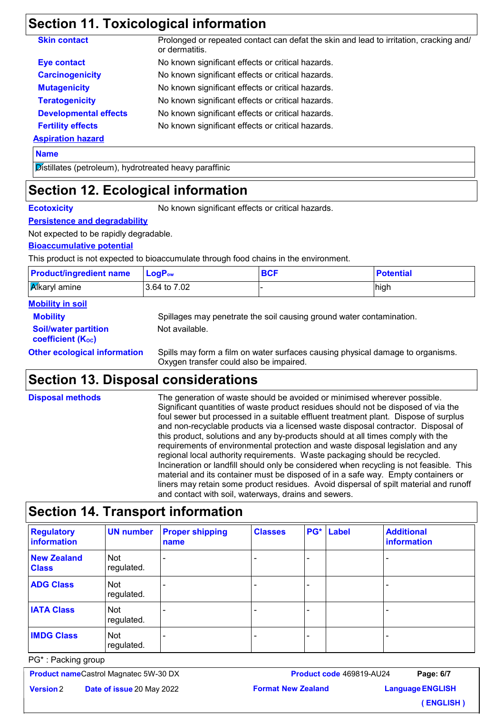## **Section 11. Toxicological information**

| <b>Skin contact</b>          | Prolonged or repeated contact can defat the skin and lead to irritation, cracking and/<br>or dermatitis. |
|------------------------------|----------------------------------------------------------------------------------------------------------|
| <b>Eye contact</b>           | No known significant effects or critical hazards.                                                        |
| <b>Carcinogenicity</b>       | No known significant effects or critical hazards.                                                        |
| <b>Mutagenicity</b>          | No known significant effects or critical hazards.                                                        |
| <b>Teratogenicity</b>        | No known significant effects or critical hazards.                                                        |
| <b>Developmental effects</b> | No known significant effects or critical hazards.                                                        |
| <b>Fertility effects</b>     | No known significant effects or critical hazards.                                                        |
| <b>Aspiration hazard</b>     |                                                                                                          |
| <b>Name</b>                  |                                                                                                          |

**Name**

Distillates (petroleum), hydrotreated heavy paraffinic

# **Section 12. Ecological information**

**Ecotoxicity** No known significant effects or critical hazards.

**Persistence and degradability**

Not expected to be rapidly degradable.

#### **Bioaccumulative potential**

This product is not expected to bioaccumulate through food chains in the environment.

| <b>Product/ingredient name</b> | $LoaPow$         | <b>BCF</b>                                                           | <b>Potential</b> |
|--------------------------------|------------------|----------------------------------------------------------------------|------------------|
| <b>Alkaryl</b> amine           | l 3.64 to 7.02 l |                                                                      | high             |
| <b>Mobility in soil</b>        |                  |                                                                      |                  |
| <b>Mobility</b>                |                  | Spillages may penetrate the soil causing ground water contamination. |                  |

**Soil/water partition** 

**coefficient (KOC)**

Not available.

**Other ecological information** Spills may form a film on water surfaces causing physical damage to organisms. Oxygen transfer could also be impaired.

## **Section 13. Disposal considerations**

| <b>Disposal methods</b> | The generation of waste should be avoided or minimised wherever possible.<br>Significant quantities of waste product residues should not be disposed of via the<br>foul sewer but processed in a suitable effluent treatment plant. Dispose of surplus<br>and non-recyclable products via a licensed waste disposal contractor. Disposal of<br>this product, solutions and any by-products should at all times comply with the<br>requirements of environmental protection and waste disposal legislation and any<br>regional local authority requirements. Waste packaging should be recycled.<br>Incineration or landfill should only be considered when recycling is not feasible. This<br>material and its container must be disposed of in a safe way. Empty containers or<br>liners may retain some product residues. Avoid dispersal of spilt material and runoff<br>and contact with soil, waterways, drains and sewers. |
|-------------------------|----------------------------------------------------------------------------------------------------------------------------------------------------------------------------------------------------------------------------------------------------------------------------------------------------------------------------------------------------------------------------------------------------------------------------------------------------------------------------------------------------------------------------------------------------------------------------------------------------------------------------------------------------------------------------------------------------------------------------------------------------------------------------------------------------------------------------------------------------------------------------------------------------------------------------------|
|-------------------------|----------------------------------------------------------------------------------------------------------------------------------------------------------------------------------------------------------------------------------------------------------------------------------------------------------------------------------------------------------------------------------------------------------------------------------------------------------------------------------------------------------------------------------------------------------------------------------------------------------------------------------------------------------------------------------------------------------------------------------------------------------------------------------------------------------------------------------------------------------------------------------------------------------------------------------|

## **Section 14. Transport information**

| <b>Regulatory</b><br>information   | <b>UN number</b>  | <b>Proper shipping</b><br>name | <b>Classes</b> | PG* | Label | <b>Additional</b><br>information |
|------------------------------------|-------------------|--------------------------------|----------------|-----|-------|----------------------------------|
| <b>New Zealand</b><br><b>Class</b> | Not<br>regulated. |                                |                | -   |       |                                  |
| <b>ADG Class</b>                   | Not<br>regulated. |                                |                |     |       |                                  |
| <b>IATA Class</b>                  | Not<br>regulated. |                                |                | -   |       |                                  |
| <b>IMDG Class</b>                  | Not<br>regulated. |                                |                |     |       |                                  |

PG\* : Packing group

**Product name** Castrol Magnatec 5W-30 DX

**Date of issue** 20 May 2022 **Version**

**Language ENGLISH Page: 6/7 ( ENGLISH )**